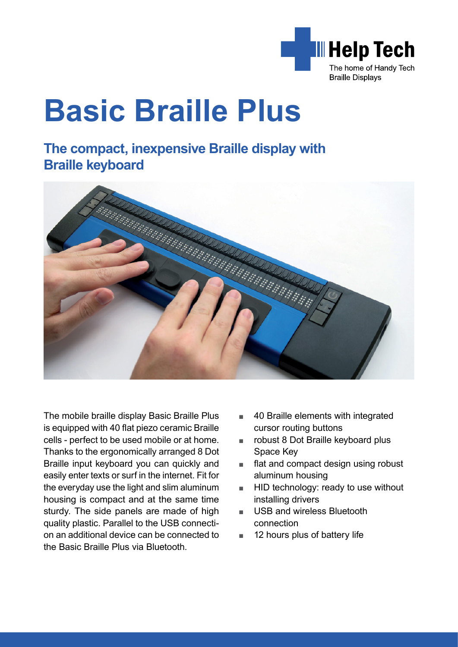

# **Basic Braille Plus**

# **The compact, inexpensive Braille display with Braille keyboard**



The mobile braille display Basic Braille Plus is equipped with 40 flat piezo ceramic Braille cells - perfect to be used mobile or at home. Thanks to the ergonomically arranged 8 Dot Braille input keyboard you can quickly and easily enter texts or surf in the internet. Fit for the everyday use the light and slim aluminum housing is compact and at the same time sturdy. The side panels are made of high quality plastic. Parallel to the USB connection an additional device can be connected to the Basic Braille Plus via Bluetooth.

- 40 Braille elements with integrated cursor routing buttons
- robust 8 Dot Braille keyboard plus Space Key
- flat and compact design using robust aluminum housing
- HID technology: ready to use without installing drivers
- USB and wireless Bluetooth connection
- 12 hours plus of battery life